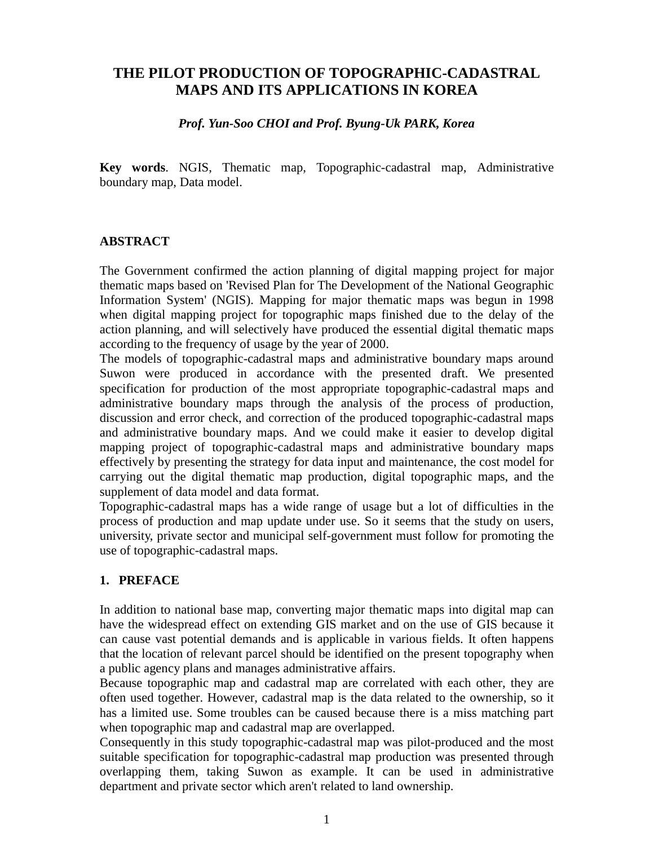# **THE PILOT PRODUCTION OF TOPOGRAPHIC-CADASTRAL MAPS AND ITS APPLICATIONS IN KOREA**

## *Prof. Yun-Soo CHOI and Prof. Byung-Uk PARK, Korea*

**Key words**. NGIS, Thematic map, Topographic-cadastral map, Administrative boundary map, Data model.

## **ABSTRACT**

The Government confirmed the action planning of digital mapping project for major thematic maps based on 'Revised Plan for The Development of the National Geographic Information System' (NGIS). Mapping for major thematic maps was begun in 1998 when digital mapping project for topographic maps finished due to the delay of the action planning, and will selectively have produced the essential digital thematic maps according to the frequency of usage by the year of 2000.

The models of topographic-cadastral maps and administrative boundary maps around Suwon were produced in accordance with the presented draft. We presented specification for production of the most appropriate topographic-cadastral maps and administrative boundary maps through the analysis of the process of production, discussion and error check, and correction of the produced topographic-cadastral maps and administrative boundary maps. And we could make it easier to develop digital mapping project of topographic-cadastral maps and administrative boundary maps effectively by presenting the strategy for data input and maintenance, the cost model for carrying out the digital thematic map production, digital topographic maps, and the supplement of data model and data format.

Topographic-cadastral maps has a wide range of usage but a lot of difficulties in the process of production and map update under use. So it seems that the study on users, university, private sector and municipal self-government must follow for promoting the use of topographic-cadastral maps.

# **1. PREFACE**

In addition to national base map, converting major thematic maps into digital map can have the widespread effect on extending GIS market and on the use of GIS because it can cause vast potential demands and is applicable in various fields. It often happens that the location of relevant parcel should be identified on the present topography when a public agency plans and manages administrative affairs.

Because topographic map and cadastral map are correlated with each other, they are often used together. However, cadastral map is the data related to the ownership, so it has a limited use. Some troubles can be caused because there is a miss matching part when topographic map and cadastral map are overlapped.

Consequently in this study topographic-cadastral map was pilot-produced and the most suitable specification for topographic-cadastral map production was presented through overlapping them, taking Suwon as example. It can be used in administrative department and private sector which aren't related to land ownership.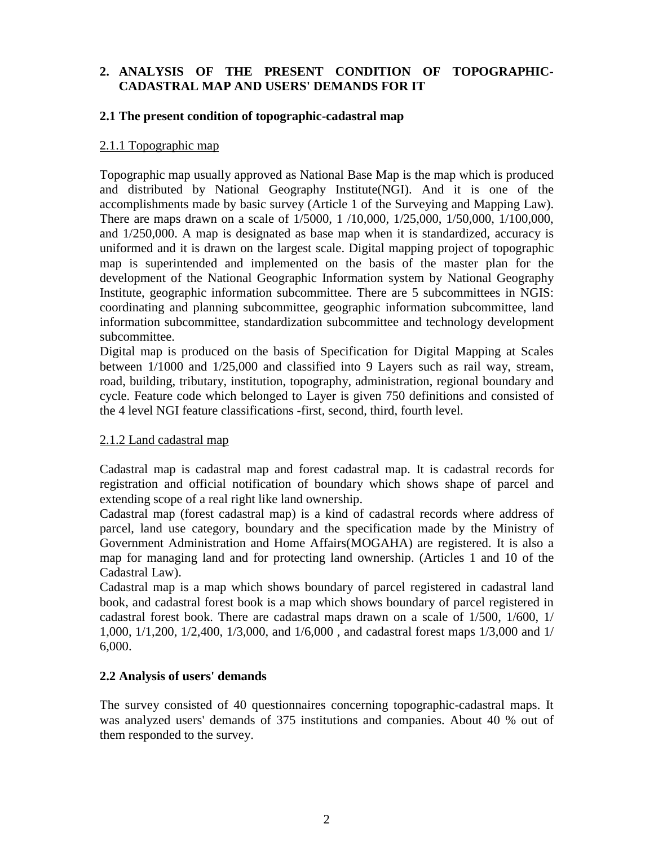# **2. ANALYSIS OF THE PRESENT CONDITION OF TOPOGRAPHIC-CADASTRAL MAP AND USERS' DEMANDS FOR IT**

#### **2.1 The present condition of topographic-cadastral map**

#### 2.1.1 Topographic map

Topographic map usually approved as National Base Map is the map which is produced and distributed by National Geography Institute(NGI). And it is one of the accomplishments made by basic survey (Article 1 of the Surveying and Mapping Law). There are maps drawn on a scale of 1/5000, 1 /10,000, 1/25,000, 1/50,000, 1/100,000, and 1/250,000. A map is designated as base map when it is standardized, accuracy is uniformed and it is drawn on the largest scale. Digital mapping project of topographic map is superintended and implemented on the basis of the master plan for the development of the National Geographic Information system by National Geography Institute, geographic information subcommittee. There are 5 subcommittees in NGIS: coordinating and planning subcommittee, geographic information subcommittee, land information subcommittee, standardization subcommittee and technology development subcommittee.

Digital map is produced on the basis of Specification for Digital Mapping at Scales between 1/1000 and 1/25,000 and classified into 9 Layers such as rail way, stream, road, building, tributary, institution, topography, administration, regional boundary and cycle. Feature code which belonged to Layer is given 750 definitions and consisted of the 4 level NGI feature classifications -first, second, third, fourth level.

## 2.1.2 Land cadastral map

Cadastral map is cadastral map and forest cadastral map. It is cadastral records for registration and official notification of boundary which shows shape of parcel and extending scope of a real right like land ownership.

Cadastral map (forest cadastral map) is a kind of cadastral records where address of parcel, land use category, boundary and the specification made by the Ministry of Government Administration and Home Affairs(MOGAHA) are registered. It is also a map for managing land and for protecting land ownership. (Articles 1 and 10 of the Cadastral Law).

Cadastral map is a map which shows boundary of parcel registered in cadastral land book, and cadastral forest book is a map which shows boundary of parcel registered in cadastral forest book. There are cadastral maps drawn on a scale of 1/500, 1/600, 1/ 1,000, 1/1,200, 1/2,400, 1/3,000, and 1/6,000 , and cadastral forest maps 1/3,000 and 1/ 6,000.

## **2.2 Analysis of users' demands**

The survey consisted of 40 questionnaires concerning topographic-cadastral maps. It was analyzed users' demands of 375 institutions and companies. About 40 % out of them responded to the survey.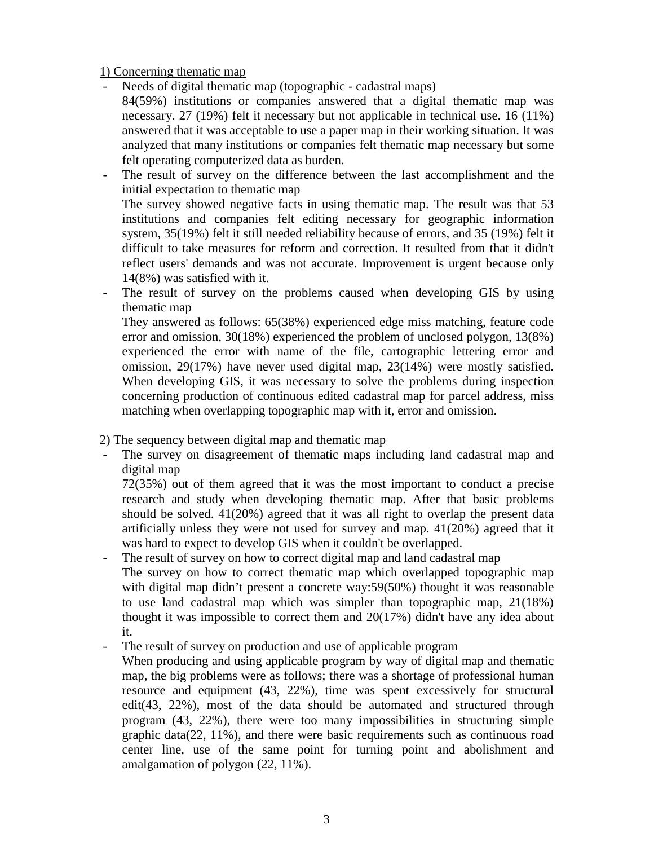## 1) Concerning thematic map

- Needs of digital thematic map (topographic cadastral maps)
	- 84(59%) institutions or companies answered that a digital thematic map was necessary. 27 (19%) felt it necessary but not applicable in technical use. 16 (11%) answered that it was acceptable to use a paper map in their working situation. It was analyzed that many institutions or companies felt thematic map necessary but some felt operating computerized data as burden.
- The result of survey on the difference between the last accomplishment and the initial expectation to thematic map

The survey showed negative facts in using thematic map. The result was that 53 institutions and companies felt editing necessary for geographic information system, 35(19%) felt it still needed reliability because of errors, and 35 (19%) felt it difficult to take measures for reform and correction. It resulted from that it didn't reflect users' demands and was not accurate. Improvement is urgent because only 14(8%) was satisfied with it.

The result of survey on the problems caused when developing GIS by using thematic map

They answered as follows: 65(38%) experienced edge miss matching, feature code error and omission, 30(18%) experienced the problem of unclosed polygon, 13(8%) experienced the error with name of the file, cartographic lettering error and omission, 29(17%) have never used digital map, 23(14%) were mostly satisfied. When developing GIS, it was necessary to solve the problems during inspection concerning production of continuous edited cadastral map for parcel address, miss matching when overlapping topographic map with it, error and omission.

## 2) The sequency between digital map and thematic map

The survey on disagreement of thematic maps including land cadastral map and digital map

72(35%) out of them agreed that it was the most important to conduct a precise research and study when developing thematic map. After that basic problems should be solved. 41(20%) agreed that it was all right to overlap the present data artificially unless they were not used for survey and map. 41(20%) agreed that it was hard to expect to develop GIS when it couldn't be overlapped.

The result of survey on how to correct digital map and land cadastral map

The survey on how to correct thematic map which overlapped topographic map with digital map didn't present a concrete way:59(50%) thought it was reasonable to use land cadastral map which was simpler than topographic map, 21(18%) thought it was impossible to correct them and 20(17%) didn't have any idea about it.

The result of survey on production and use of applicable program

When producing and using applicable program by way of digital map and thematic map, the big problems were as follows; there was a shortage of professional human resource and equipment (43, 22%), time was spent excessively for structural edit(43, 22%), most of the data should be automated and structured through program (43, 22%), there were too many impossibilities in structuring simple graphic data(22, 11%), and there were basic requirements such as continuous road center line, use of the same point for turning point and abolishment and amalgamation of polygon (22, 11%).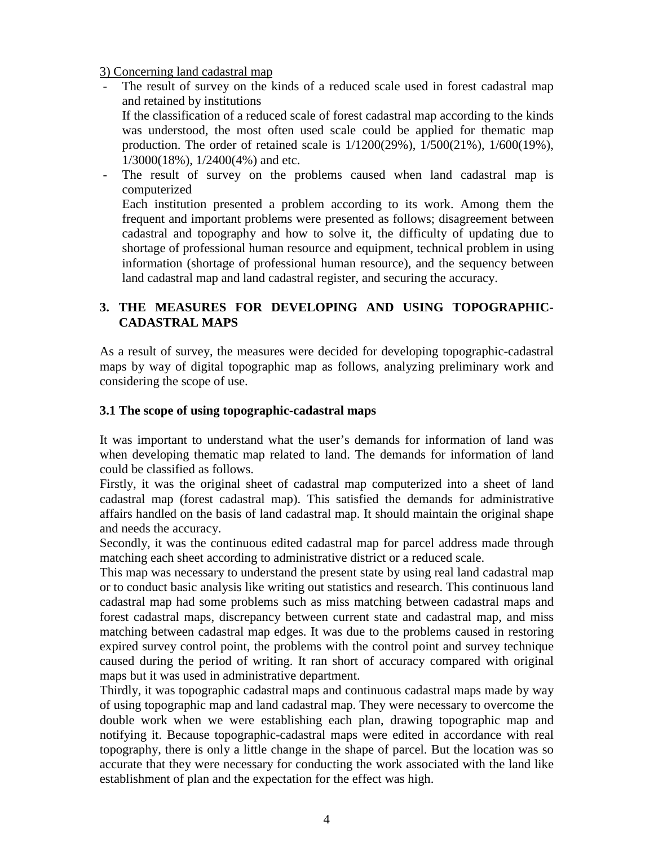#### 3) Concerning land cadastral map

- The result of survey on the kinds of a reduced scale used in forest cadastral map and retained by institutions If the classification of a reduced scale of forest cadastral map according to the kinds was understood, the most often used scale could be applied for thematic map production. The order of retained scale is 1/1200(29%), 1/500(21%), 1/600(19%), 1/3000(18%), 1/2400(4%) and etc.
- The result of survey on the problems caused when land cadastral map is computerized Each institution presented a problem according to its work. Among them the frequent and important problems were presented as follows; disagreement between cadastral and topography and how to solve it, the difficulty of updating due to

shortage of professional human resource and equipment, technical problem in using information (shortage of professional human resource), and the sequency between land cadastral map and land cadastral register, and securing the accuracy.

# **3. THE MEASURES FOR DEVELOPING AND USING TOPOGRAPHIC-CADASTRAL MAPS**

As a result of survey, the measures were decided for developing topographic-cadastral maps by way of digital topographic map as follows, analyzing preliminary work and considering the scope of use.

## **3.1 The scope of using topographic-cadastral maps**

It was important to understand what the user's demands for information of land was when developing thematic map related to land. The demands for information of land could be classified as follows.

Firstly, it was the original sheet of cadastral map computerized into a sheet of land cadastral map (forest cadastral map). This satisfied the demands for administrative affairs handled on the basis of land cadastral map. It should maintain the original shape and needs the accuracy.

Secondly, it was the continuous edited cadastral map for parcel address made through matching each sheet according to administrative district or a reduced scale.

This map was necessary to understand the present state by using real land cadastral map or to conduct basic analysis like writing out statistics and research. This continuous land cadastral map had some problems such as miss matching between cadastral maps and forest cadastral maps, discrepancy between current state and cadastral map, and miss matching between cadastral map edges. It was due to the problems caused in restoring expired survey control point, the problems with the control point and survey technique caused during the period of writing. It ran short of accuracy compared with original maps but it was used in administrative department.

Thirdly, it was topographic cadastral maps and continuous cadastral maps made by way of using topographic map and land cadastral map. They were necessary to overcome the double work when we were establishing each plan, drawing topographic map and notifying it. Because topographic-cadastral maps were edited in accordance with real topography, there is only a little change in the shape of parcel. But the location was so accurate that they were necessary for conducting the work associated with the land like establishment of plan and the expectation for the effect was high.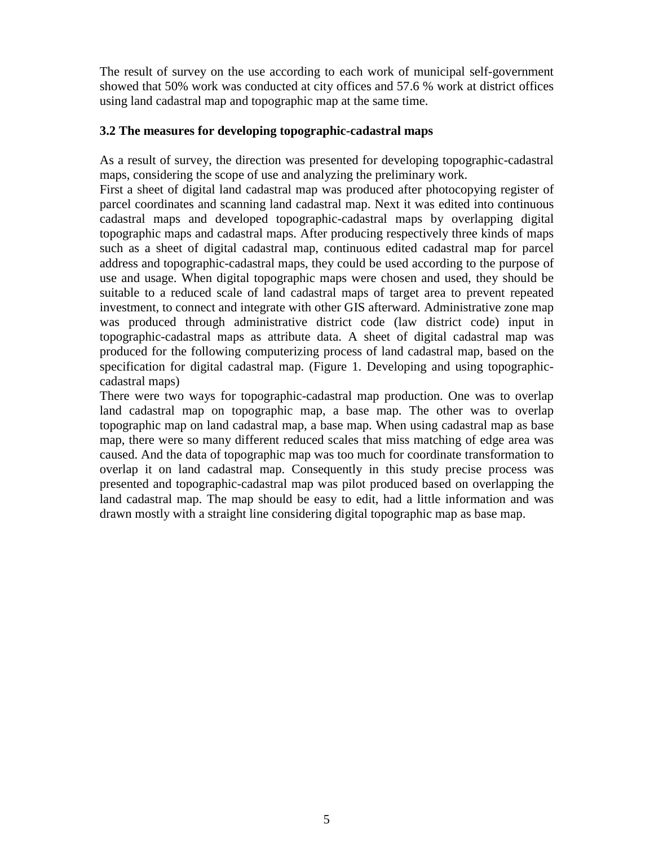The result of survey on the use according to each work of municipal self-government showed that 50% work was conducted at city offices and 57.6 % work at district offices using land cadastral map and topographic map at the same time.

## **3.2 The measures for developing topographic-cadastral maps**

As a result of survey, the direction was presented for developing topographic-cadastral maps, considering the scope of use and analyzing the preliminary work.

First a sheet of digital land cadastral map was produced after photocopying register of parcel coordinates and scanning land cadastral map. Next it was edited into continuous cadastral maps and developed topographic-cadastral maps by overlapping digital topographic maps and cadastral maps. After producing respectively three kinds of maps such as a sheet of digital cadastral map, continuous edited cadastral map for parcel address and topographic-cadastral maps, they could be used according to the purpose of use and usage. When digital topographic maps were chosen and used, they should be suitable to a reduced scale of land cadastral maps of target area to prevent repeated investment, to connect and integrate with other GIS afterward. Administrative zone map was produced through administrative district code (law district code) input in topographic-cadastral maps as attribute data. A sheet of digital cadastral map was produced for the following computerizing process of land cadastral map, based on the specification for digital cadastral map. (Figure 1. Developing and using topographiccadastral maps)

There were two ways for topographic-cadastral map production. One was to overlap land cadastral map on topographic map, a base map. The other was to overlap topographic map on land cadastral map, a base map. When using cadastral map as base map, there were so many different reduced scales that miss matching of edge area was caused. And the data of topographic map was too much for coordinate transformation to overlap it on land cadastral map. Consequently in this study precise process was presented and topographic-cadastral map was pilot produced based on overlapping the land cadastral map. The map should be easy to edit, had a little information and was drawn mostly with a straight line considering digital topographic map as base map.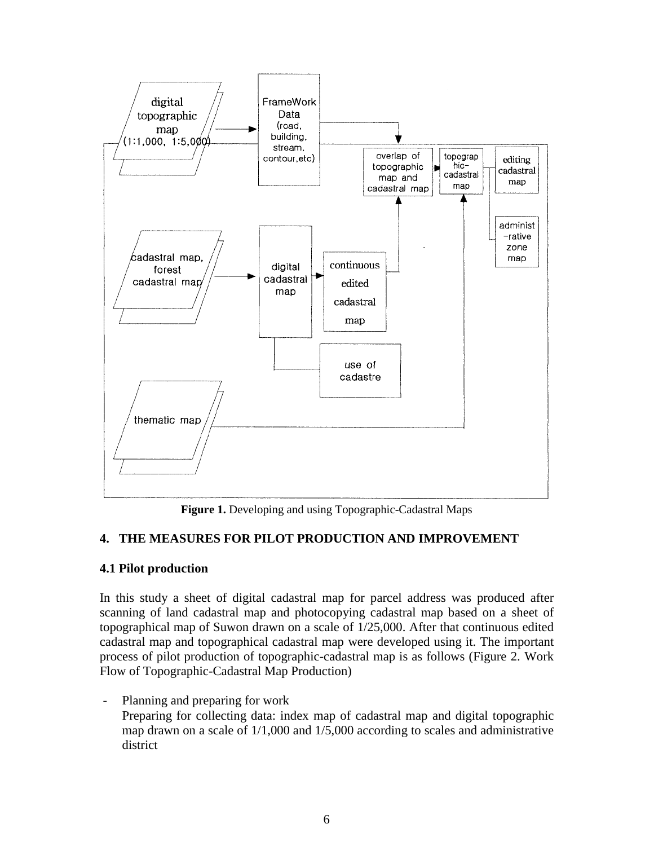

**Figure 1.** Developing and using Topographic-Cadastral Maps

# **4. THE MEASURES FOR PILOT PRODUCTION AND IMPROVEMENT**

# **4.1 Pilot production**

In this study a sheet of digital cadastral map for parcel address was produced after scanning of land cadastral map and photocopying cadastral map based on a sheet of topographical map of Suwon drawn on a scale of 1/25,000. After that continuous edited cadastral map and topographical cadastral map were developed using it. The important process of pilot production of topographic-cadastral map is as follows (Figure 2. Work Flow of Topographic-Cadastral Map Production)

- Planning and preparing for work

Preparing for collecting data: index map of cadastral map and digital topographic map drawn on a scale of 1/1,000 and 1/5,000 according to scales and administrative district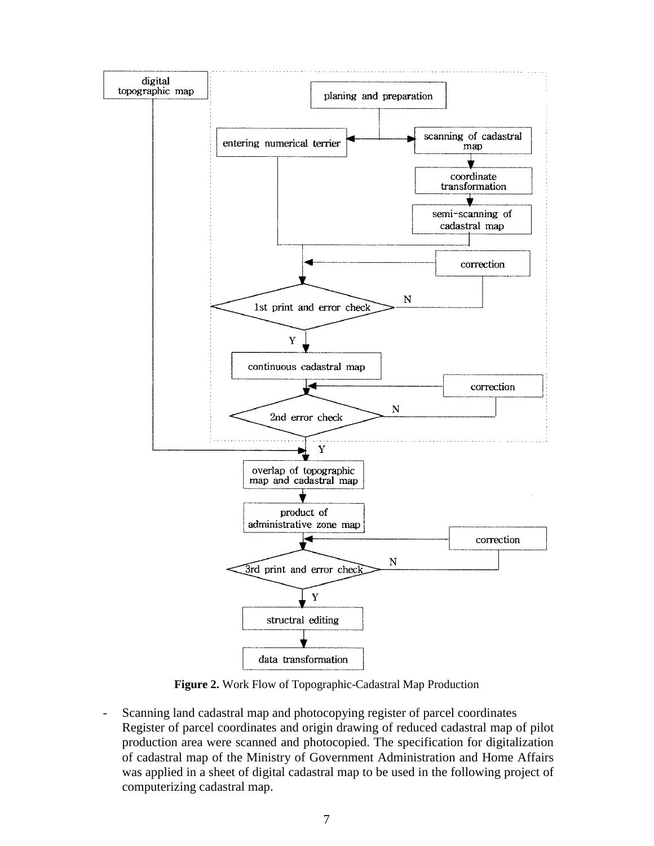

**Figure 2.** Work Flow of Topographic-Cadastral Map Production

- Scanning land cadastral map and photocopying register of parcel coordinates Register of parcel coordinates and origin drawing of reduced cadastral map of pilot production area were scanned and photocopied. The specification for digitalization of cadastral map of the Ministry of Government Administration and Home Affairs was applied in a sheet of digital cadastral map to be used in the following project of computerizing cadastral map.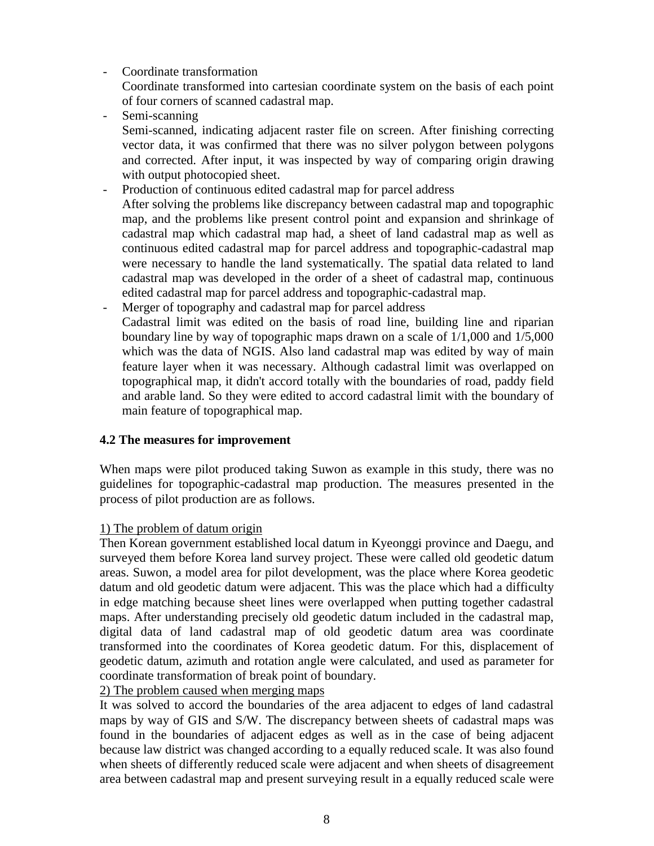- Coordinate transformation

Coordinate transformed into cartesian coordinate system on the basis of each point of four corners of scanned cadastral map.

- Semi-scanning

Semi-scanned, indicating adjacent raster file on screen. After finishing correcting vector data, it was confirmed that there was no silver polygon between polygons and corrected. After input, it was inspected by way of comparing origin drawing with output photocopied sheet.

- Production of continuous edited cadastral map for parcel address After solving the problems like discrepancy between cadastral map and topographic map, and the problems like present control point and expansion and shrinkage of cadastral map which cadastral map had, a sheet of land cadastral map as well as continuous edited cadastral map for parcel address and topographic-cadastral map were necessary to handle the land systematically. The spatial data related to land cadastral map was developed in the order of a sheet of cadastral map, continuous edited cadastral map for parcel address and topographic-cadastral map.
- Merger of topography and cadastral map for parcel address Cadastral limit was edited on the basis of road line, building line and riparian boundary line by way of topographic maps drawn on a scale of 1/1,000 and 1/5,000 which was the data of NGIS. Also land cadastral map was edited by way of main feature layer when it was necessary. Although cadastral limit was overlapped on topographical map, it didn't accord totally with the boundaries of road, paddy field and arable land. So they were edited to accord cadastral limit with the boundary of main feature of topographical map.

# **4.2 The measures for improvement**

When maps were pilot produced taking Suwon as example in this study, there was no guidelines for topographic-cadastral map production. The measures presented in the process of pilot production are as follows.

# 1) The problem of datum origin

Then Korean government established local datum in Kyeonggi province and Daegu, and surveyed them before Korea land survey project. These were called old geodetic datum areas. Suwon, a model area for pilot development, was the place where Korea geodetic datum and old geodetic datum were adjacent. This was the place which had a difficulty in edge matching because sheet lines were overlapped when putting together cadastral maps. After understanding precisely old geodetic datum included in the cadastral map, digital data of land cadastral map of old geodetic datum area was coordinate transformed into the coordinates of Korea geodetic datum. For this, displacement of geodetic datum, azimuth and rotation angle were calculated, and used as parameter for coordinate transformation of break point of boundary.

# 2) The problem caused when merging maps

It was solved to accord the boundaries of the area adjacent to edges of land cadastral maps by way of GIS and S/W. The discrepancy between sheets of cadastral maps was found in the boundaries of adjacent edges as well as in the case of being adjacent because law district was changed according to a equally reduced scale. It was also found when sheets of differently reduced scale were adjacent and when sheets of disagreement area between cadastral map and present surveying result in a equally reduced scale were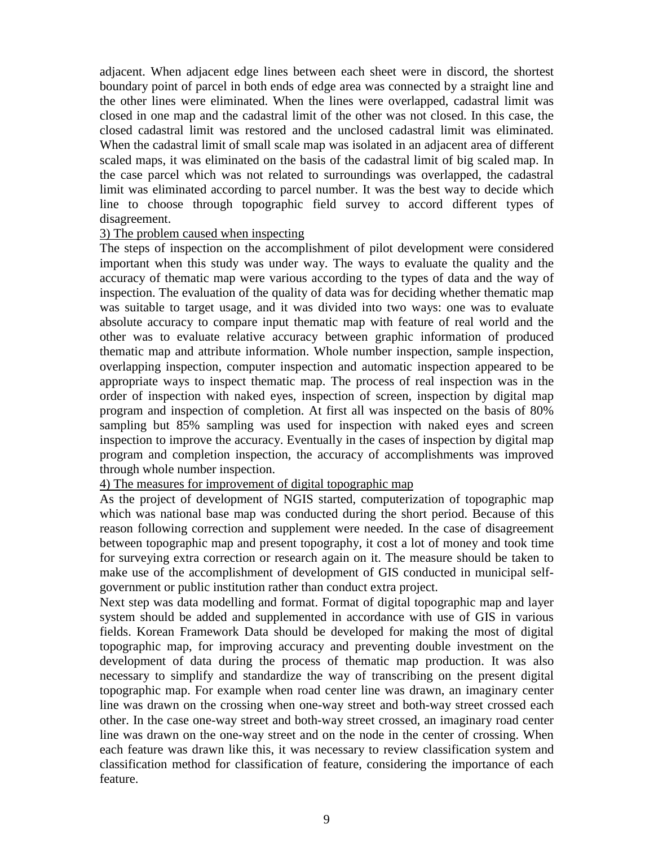adjacent. When adjacent edge lines between each sheet were in discord, the shortest boundary point of parcel in both ends of edge area was connected by a straight line and the other lines were eliminated. When the lines were overlapped, cadastral limit was closed in one map and the cadastral limit of the other was not closed. In this case, the closed cadastral limit was restored and the unclosed cadastral limit was eliminated. When the cadastral limit of small scale map was isolated in an adjacent area of different scaled maps, it was eliminated on the basis of the cadastral limit of big scaled map. In the case parcel which was not related to surroundings was overlapped, the cadastral limit was eliminated according to parcel number. It was the best way to decide which line to choose through topographic field survey to accord different types of disagreement.

#### 3) The problem caused when inspecting

The steps of inspection on the accomplishment of pilot development were considered important when this study was under way. The ways to evaluate the quality and the accuracy of thematic map were various according to the types of data and the way of inspection. The evaluation of the quality of data was for deciding whether thematic map was suitable to target usage, and it was divided into two ways: one was to evaluate absolute accuracy to compare input thematic map with feature of real world and the other was to evaluate relative accuracy between graphic information of produced thematic map and attribute information. Whole number inspection, sample inspection, overlapping inspection, computer inspection and automatic inspection appeared to be appropriate ways to inspect thematic map. The process of real inspection was in the order of inspection with naked eyes, inspection of screen, inspection by digital map program and inspection of completion. At first all was inspected on the basis of 80% sampling but 85% sampling was used for inspection with naked eyes and screen inspection to improve the accuracy. Eventually in the cases of inspection by digital map program and completion inspection, the accuracy of accomplishments was improved through whole number inspection.

## 4) The measures for improvement of digital topographic map

As the project of development of NGIS started, computerization of topographic map which was national base map was conducted during the short period. Because of this reason following correction and supplement were needed. In the case of disagreement between topographic map and present topography, it cost a lot of money and took time for surveying extra correction or research again on it. The measure should be taken to make use of the accomplishment of development of GIS conducted in municipal selfgovernment or public institution rather than conduct extra project.

Next step was data modelling and format. Format of digital topographic map and layer system should be added and supplemented in accordance with use of GIS in various fields. Korean Framework Data should be developed for making the most of digital topographic map, for improving accuracy and preventing double investment on the development of data during the process of thematic map production. It was also necessary to simplify and standardize the way of transcribing on the present digital topographic map. For example when road center line was drawn, an imaginary center line was drawn on the crossing when one-way street and both-way street crossed each other. In the case one-way street and both-way street crossed, an imaginary road center line was drawn on the one-way street and on the node in the center of crossing. When each feature was drawn like this, it was necessary to review classification system and classification method for classification of feature, considering the importance of each feature.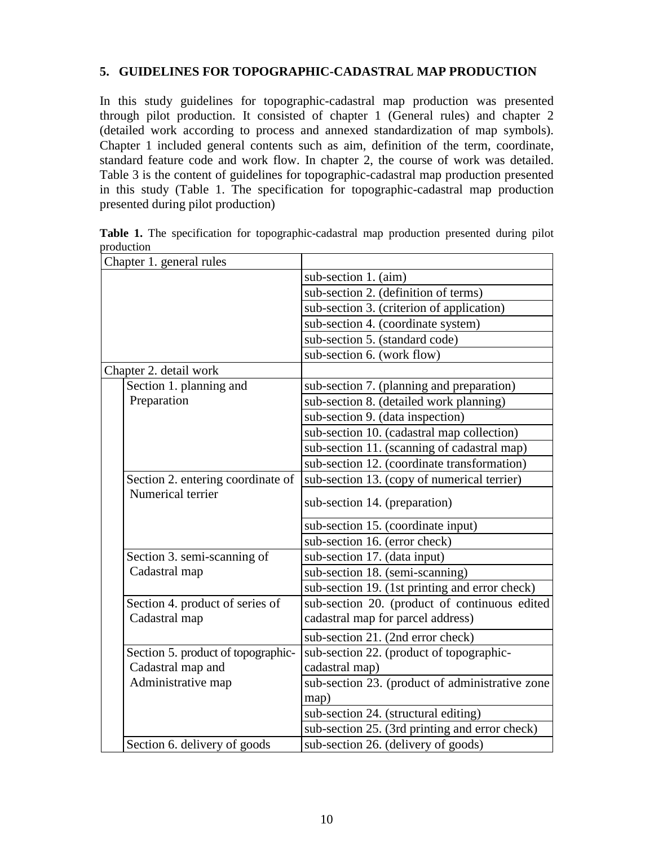## **5. GUIDELINES FOR TOPOGRAPHIC-CADASTRAL MAP PRODUCTION**

In this study guidelines for topographic-cadastral map production was presented through pilot production. It consisted of chapter 1 (General rules) and chapter 2 (detailed work according to process and annexed standardization of map symbols). Chapter 1 included general contents such as aim, definition of the term, coordinate, standard feature code and work flow. In chapter 2, the course of work was detailed. Table 3 is the content of guidelines for topographic-cadastral map production presented in this study (Table 1. The specification for topographic-cadastral map production presented during pilot production)

| Chapter 1. general rules           |                                                 |
|------------------------------------|-------------------------------------------------|
|                                    | sub-section 1. (aim)                            |
|                                    | sub-section 2. (definition of terms)            |
|                                    | sub-section 3. (criterion of application)       |
|                                    | sub-section 4. (coordinate system)              |
|                                    | sub-section 5. (standard code)                  |
|                                    | sub-section 6. (work flow)                      |
| Chapter 2. detail work             |                                                 |
| Section 1. planning and            | sub-section 7. (planning and preparation)       |
| Preparation                        | sub-section 8. (detailed work planning)         |
|                                    | sub-section 9. (data inspection)                |
|                                    | sub-section 10. (cadastral map collection)      |
|                                    | sub-section 11. (scanning of cadastral map)     |
|                                    | sub-section 12. (coordinate transformation)     |
| Section 2. entering coordinate of  | sub-section 13. (copy of numerical terrier)     |
| Numerical terrier                  | sub-section 14. (preparation)                   |
|                                    | sub-section 15. (coordinate input)              |
|                                    | sub-section 16. (error check)                   |
| Section 3. semi-scanning of        | sub-section 17. (data input)                    |
| Cadastral map                      | sub-section 18. (semi-scanning)                 |
|                                    | sub-section 19. (1st printing and error check)  |
| Section 4. product of series of    | sub-section 20. (product of continuous edited   |
| Cadastral map                      | cadastral map for parcel address)               |
|                                    | sub-section 21. (2nd error check)               |
| Section 5. product of topographic- | sub-section 22. (product of topographic-        |
| Cadastral map and                  | cadastral map)                                  |
| Administrative map                 | sub-section 23. (product of administrative zone |
|                                    | map)                                            |
|                                    | sub-section 24. (structural editing)            |
|                                    | sub-section 25. (3rd printing and error check)  |
| Section 6. delivery of goods       | sub-section 26. (delivery of goods)             |

Table 1. The specification for topographic-cadastral map production presented during pilot production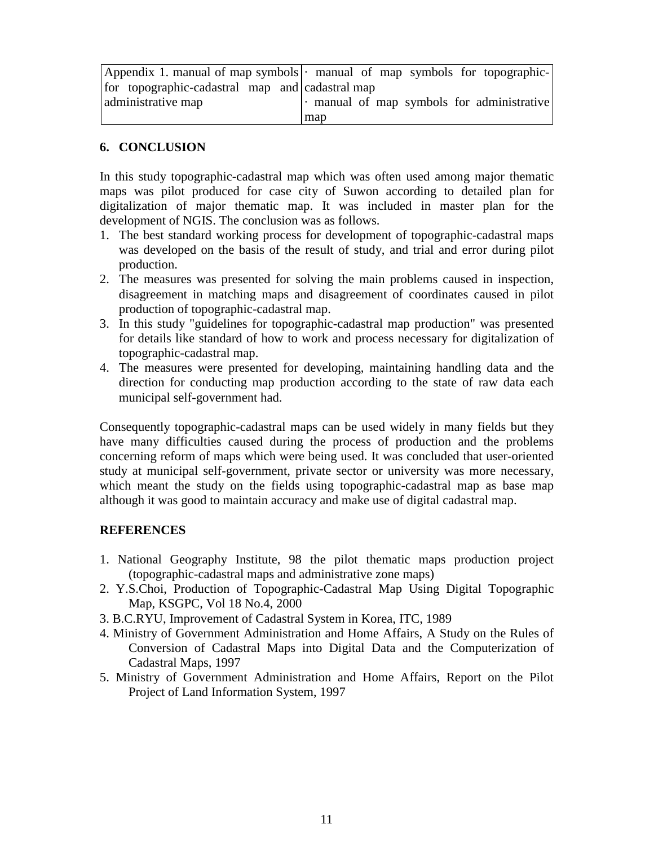|                                                 | Appendix 1. manual of map symbols $\cdot$ manual of map symbols for topographic- |
|-------------------------------------------------|----------------------------------------------------------------------------------|
| for topographic-cadastral map and cadastral map |                                                                                  |
| administrative map                              | $\cdot$ manual of map symbols for administrative                                 |
|                                                 | map                                                                              |

## **6. CONCLUSION**

In this study topographic-cadastral map which was often used among major thematic maps was pilot produced for case city of Suwon according to detailed plan for digitalization of major thematic map. It was included in master plan for the development of NGIS. The conclusion was as follows.

- 1. The best standard working process for development of topographic-cadastral maps was developed on the basis of the result of study, and trial and error during pilot production.
- 2. The measures was presented for solving the main problems caused in inspection, disagreement in matching maps and disagreement of coordinates caused in pilot production of topographic-cadastral map.
- 3. In this study "guidelines for topographic-cadastral map production" was presented for details like standard of how to work and process necessary for digitalization of topographic-cadastral map.
- 4. The measures were presented for developing, maintaining handling data and the direction for conducting map production according to the state of raw data each municipal self-government had.

Consequently topographic-cadastral maps can be used widely in many fields but they have many difficulties caused during the process of production and the problems concerning reform of maps which were being used. It was concluded that user-oriented study at municipal self-government, private sector or university was more necessary, which meant the study on the fields using topographic-cadastral map as base map although it was good to maintain accuracy and make use of digital cadastral map.

# **REFERENCES**

- 1. National Geography Institute, 98 the pilot thematic maps production project (topographic-cadastral maps and administrative zone maps)
- 2. Y.S.Choi, Production of Topographic-Cadastral Map Using Digital Topographic Map, KSGPC, Vol 18 No.4, 2000
- 3. B.C.RYU, Improvement of Cadastral System in Korea, ITC, 1989
- 4. Ministry of Government Administration and Home Affairs, A Study on the Rules of Conversion of Cadastral Maps into Digital Data and the Computerization of Cadastral Maps, 1997
- 5. Ministry of Government Administration and Home Affairs, Report on the Pilot Project of Land Information System, 1997